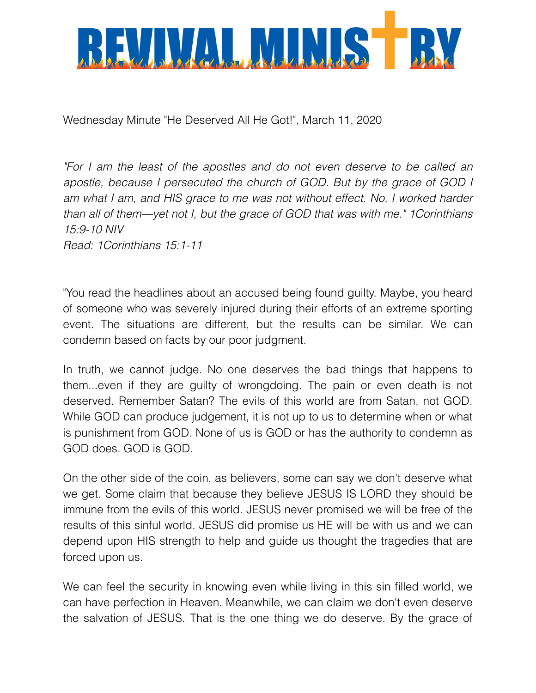

Wednesday Minute "He Deserved All He Got!", March 11, 2020

*"For I am the least of the apostles and do not even deserve to be called an apostle, because I persecuted the church of GOD. But by the grace of GOD I*  am what I am, and HIS grace to me was not without effect. No, I worked harder *than all of them—yet not I, but the grace of GOD that was with me." 1Corinthians 15:9-10 NIV Read: 1Corinthians 15:1-11* 

"You read the headlines about an accused being found guilty. Maybe, you heard of someone who was severely injured during their efforts of an extreme sporting event. The situations are different, but the results can be similar. We can condemn based on facts by our poor judgment.

In truth, we cannot judge. No one deserves the bad things that happens to them...even if they are guilty of wrongdoing. The pain or even death is not deserved. Remember Satan? The evils of this world are from Satan, not GOD. While GOD can produce judgement, it is not up to us to determine when or what is punishment from GOD. None of us is GOD or has the authority to condemn as GOD does. GOD is GOD.

On the other side of the coin, as believers, some can say we don't deserve what we get. Some claim that because they believe JESUS IS LORD they should be immune from the evils of this world. JESUS never promised we will be free of the results of this sinful world. JESUS did promise us HE will be with us and we can depend upon HIS strength to help and guide us thought the tragedies that are forced upon us.

We can feel the security in knowing even while living in this sin filled world, we can have perfection in Heaven. Meanwhile, we can claim we don't even deserve the salvation of JESUS. That is the one thing we do deserve. By the grace of